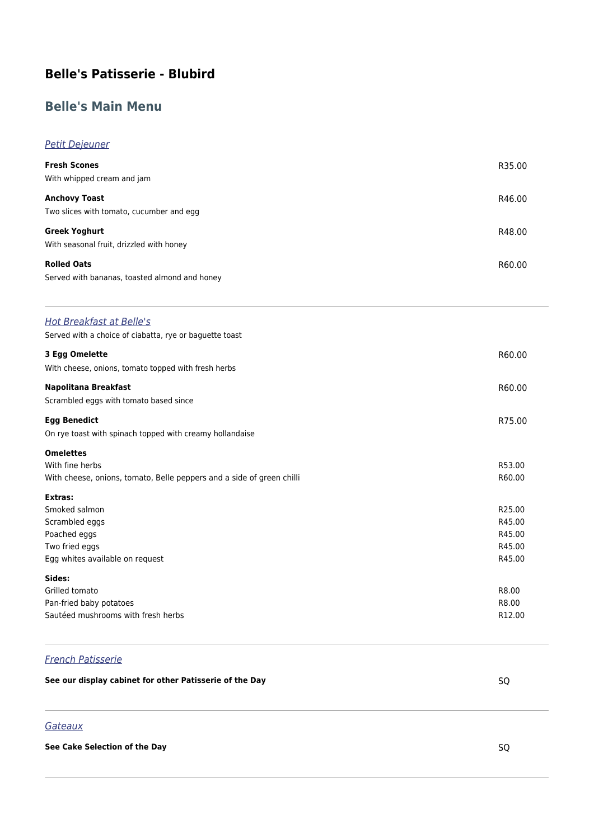# **Belle's Patisserie - Blubird**

# **Belle's Main Menu**

### Petit Dejeuner

| <b>Fresh Scones</b><br>With whipped cream and jam                | R35.00 |
|------------------------------------------------------------------|--------|
| <b>Anchovy Toast</b>                                             | R46.00 |
| Two slices with tomato, cucumber and egg<br><b>Greek Yoghurt</b> | R48.00 |
| With seasonal fruit, drizzled with honey<br><b>Rolled Oats</b>   | R60.00 |
| Served with bananas, toasted almond and honey                    |        |

#### Hot Breakfast at Belle's

Served with a choice of ciabatta, rye or baguette toast

| 3 Egg Omelette                                                        | R60.00             |
|-----------------------------------------------------------------------|--------------------|
| With cheese, onions, tomato topped with fresh herbs                   |                    |
| Napolitana Breakfast                                                  | R60.00             |
| Scrambled eggs with tomato based since                                |                    |
| <b>Egg Benedict</b>                                                   | R75.00             |
| On rye toast with spinach topped with creamy hollandaise              |                    |
| <b>Omelettes</b>                                                      |                    |
| With fine herbs                                                       | R53.00             |
| With cheese, onions, tomato, Belle peppers and a side of green chilli | R60.00             |
| Extras:                                                               |                    |
| Smoked salmon                                                         | R25.00             |
| Scrambled eggs                                                        | R45.00             |
| Poached eggs                                                          | R45.00             |
| Two fried eggs                                                        | R45.00             |
| Egg whites available on request                                       | R45.00             |
| Sides:                                                                |                    |
| Grilled tomato                                                        | R8.00              |
| Pan-fried baby potatoes                                               | R8.00              |
| Sautéed mushrooms with fresh herbs                                    | R <sub>12.00</sub> |

## French Patisserie

| See our display cabinet for other Patisserie of the Day |  |  |
|---------------------------------------------------------|--|--|
|---------------------------------------------------------|--|--|

# **Gateaux**

#### **See Cake Selection of the Day** SQ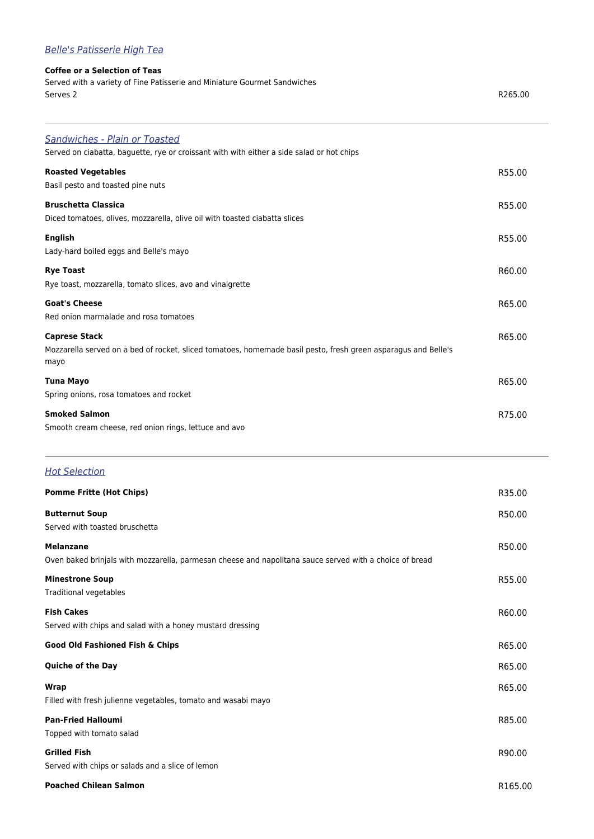# Belle's Patisserie High Tea

#### **Coffee or a Selection of Teas**

Served with a variety of Fine Patisserie and Miniature Gourmet Sandwiches Serves 2 R265.00

| <b>Sandwiches - Plain or Toasted</b><br>Served on ciabatta, baguette, rye or croissant with with either a side salad or hot chips              |        |
|------------------------------------------------------------------------------------------------------------------------------------------------|--------|
| <b>Roasted Vegetables</b><br>Basil pesto and toasted pine nuts                                                                                 | R55.00 |
| <b>Bruschetta Classica</b><br>Diced tomatoes, olives, mozzarella, olive oil with toasted ciabatta slices                                       | R55.00 |
| <b>English</b><br>Lady-hard boiled eggs and Belle's mayo                                                                                       | R55.00 |
| <b>Rye Toast</b><br>Rye toast, mozzarella, tomato slices, avo and vinaigrette                                                                  | R60.00 |
| <b>Goat's Cheese</b><br>Red onion marmalade and rosa tomatoes                                                                                  | R65.00 |
| <b>Caprese Stack</b><br>Mozzarella served on a bed of rocket, sliced tomatoes, homemade basil pesto, fresh green asparagus and Belle's<br>mayo | R65.00 |
| <b>Tuna Mayo</b><br>Spring onions, rosa tomatoes and rocket                                                                                    | R65.00 |
| <b>Smoked Salmon</b><br>Smooth cream cheese, red onion rings, lettuce and avo                                                                  | R75.00 |

### **Hot Selection**

| <b>Pomme Fritte (Hot Chips)</b>                                                                                             | R35.00  |
|-----------------------------------------------------------------------------------------------------------------------------|---------|
| <b>Butternut Soup</b><br>Served with toasted bruschetta                                                                     | R50.00  |
| <b>Melanzane</b><br>Oven baked brinjals with mozzarella, parmesan cheese and napolitana sauce served with a choice of bread | R50.00  |
| <b>Minestrone Soup</b><br>Traditional vegetables                                                                            | R55.00  |
| <b>Fish Cakes</b><br>Served with chips and salad with a honey mustard dressing                                              | R60.00  |
| Good Old Fashioned Fish & Chips                                                                                             | R65.00  |
| <b>Quiche of the Day</b>                                                                                                    | R65.00  |
| <b>Wrap</b><br>Filled with fresh julienne vegetables, tomato and wasabi mayo                                                | R65.00  |
| <b>Pan-Fried Halloumi</b><br>Topped with tomato salad                                                                       | R85.00  |
| <b>Grilled Fish</b><br>Served with chips or salads and a slice of lemon                                                     | R90.00  |
| <b>Poached Chilean Salmon</b>                                                                                               | R165.00 |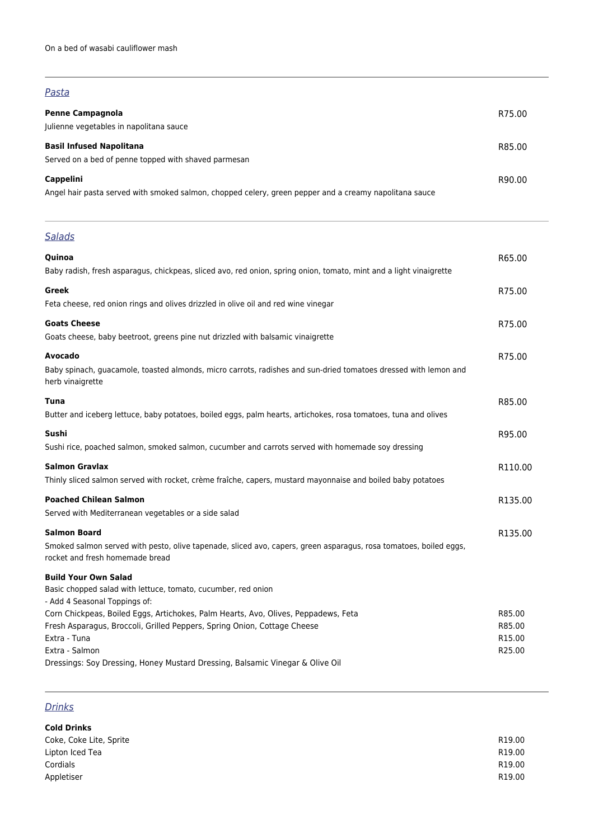#### Pasta

| <b>Penne Campagnola</b><br>Julienne vegetables in napolitana sauce                                                         | R75.00 |
|----------------------------------------------------------------------------------------------------------------------------|--------|
| <b>Basil Infused Napolitana</b><br>Served on a bed of penne topped with shaved parmesan                                    | R85.00 |
| <b>Cappelini</b><br>Angel hair pasta served with smoked salmon, chopped celery, green pepper and a creamy napolitana sauce | R90.00 |

# **Salads**

| Quinoa                                                                                                                                               | R65.00  |
|------------------------------------------------------------------------------------------------------------------------------------------------------|---------|
| Baby radish, fresh asparagus, chickpeas, sliced avo, red onion, spring onion, tomato, mint and a light vinaigrette                                   |         |
| Greek                                                                                                                                                | R75.00  |
| Feta cheese, red onion rings and olives drizzled in olive oil and red wine vinegar                                                                   |         |
| <b>Goats Cheese</b>                                                                                                                                  | R75.00  |
| Goats cheese, baby beetroot, greens pine nut drizzled with balsamic vinaigrette                                                                      |         |
| Avocado                                                                                                                                              | R75.00  |
| Baby spinach, guacamole, toasted almonds, micro carrots, radishes and sun-dried tomatoes dressed with lemon and<br>herb vinaigrette                  |         |
| Tuna                                                                                                                                                 | R85.00  |
| Butter and iceberg lettuce, baby potatoes, boiled eggs, palm hearts, artichokes, rosa tomatoes, tuna and olives                                      |         |
| Sushi                                                                                                                                                | R95.00  |
| Sushi rice, poached salmon, smoked salmon, cucumber and carrots served with homemade soy dressing                                                    |         |
| <b>Salmon Gravlax</b>                                                                                                                                | R110.00 |
| Thinly sliced salmon served with rocket, crème fraîche, capers, mustard mayonnaise and boiled baby potatoes                                          |         |
| <b>Poached Chilean Salmon</b>                                                                                                                        | R135.00 |
| Served with Mediterranean vegetables or a side salad                                                                                                 |         |
| <b>Salmon Board</b>                                                                                                                                  | R135.00 |
| Smoked salmon served with pesto, olive tapenade, sliced avo, capers, green asparagus, rosa tomatoes, boiled eggs,<br>rocket and fresh homemade bread |         |
| <b>Build Your Own Salad</b>                                                                                                                          |         |
| Basic chopped salad with lettuce, tomato, cucumber, red onion<br>- Add 4 Seasonal Toppings of:                                                       |         |
| Corn Chickpeas, Boiled Eggs, Artichokes, Palm Hearts, Avo, Olives, Peppadews, Feta                                                                   | R85.00  |
| Fresh Asparagus, Broccoli, Grilled Peppers, Spring Onion, Cottage Cheese                                                                             | R85.00  |
| Extra - Tuna                                                                                                                                         | R15.00  |
| Extra - Salmon<br>Dressings: Soy Dressing, Honey Mustard Dressing, Balsamic Vinegar & Olive Oil                                                      | R25.00  |
|                                                                                                                                                      |         |

# **Drinks**

| <b>Cold Drinks</b>      |        |
|-------------------------|--------|
| Coke, Coke Lite, Sprite | R19.00 |
| Lipton Iced Tea         | R19.00 |
| Cordials                | R19.00 |
| Appletiser              | R19.00 |